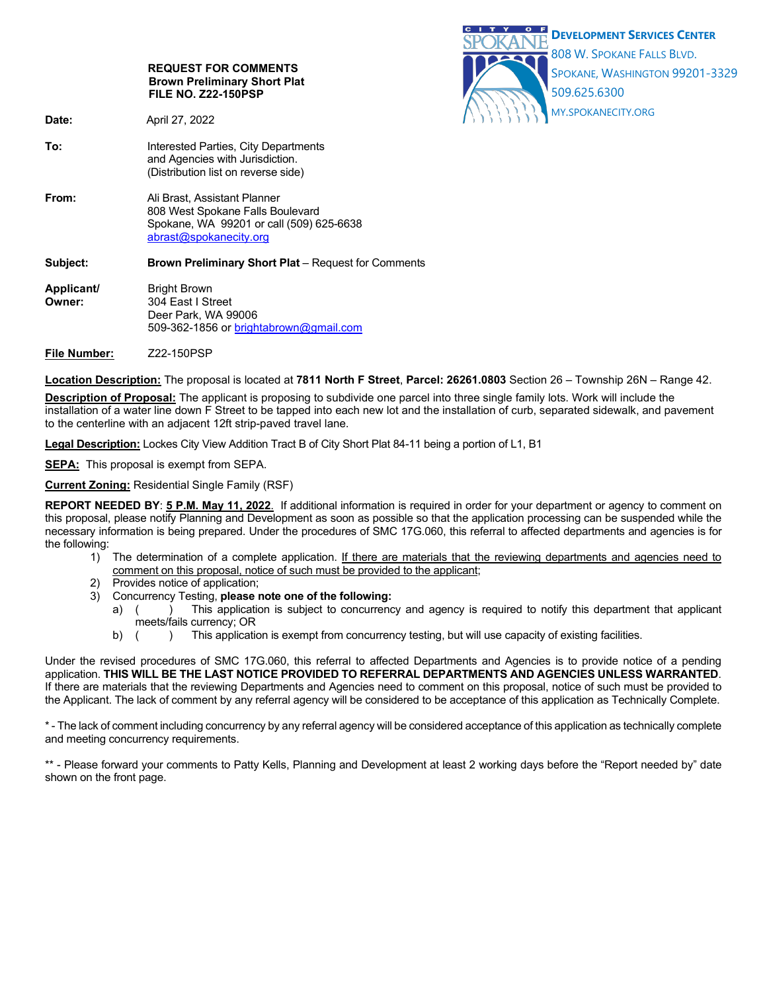

**File Number:** Z22-150PSP

**Location Description:** The proposal is located at **7811 North F Street**, **Parcel: 26261.0803** Section 26 – Township 26N – Range 42.

**Description of Proposal:** The applicant is proposing to subdivide one parcel into three single family lots. Work will include the installation of a water line down F Street to be tapped into each new lot and the installation of curb, separated sidewalk, and pavement to the centerline with an adjacent 12ft strip-paved travel lane.

**Legal Description:** Lockes City View Addition Tract B of City Short Plat 84-11 being a portion of L1, B1

**SEPA:** This proposal is exempt from SEPA.

**Current Zoning:** Residential Single Family (RSF)

**REPORT NEEDED BY**: **5 P.M. May 11, 2022**. If additional information is required in order for your department or agency to comment on this proposal, please notify Planning and Development as soon as possible so that the application processing can be suspended while the necessary information is being prepared. Under the procedures of SMC 17G.060, this referral to affected departments and agencies is for the following:

- 1) The determination of a complete application. If there are materials that the reviewing departments and agencies need to comment on this proposal, notice of such must be provided to the applicant;
- 2) Provides notice of application;
- 3) Concurrency Testing, **please note one of the following:**
	- a) () This application is subject to concurrency and agency is required to notify this department that applicant meets/fails currency; OR
	- b) () This application is exempt from concurrency testing, but will use capacity of existing facilities.

Under the revised procedures of SMC 17G.060, this referral to affected Departments and Agencies is to provide notice of a pending application. **THIS WILL BE THE LAST NOTICE PROVIDED TO REFERRAL DEPARTMENTS AND AGENCIES UNLESS WARRANTED**. If there are materials that the reviewing Departments and Agencies need to comment on this proposal, notice of such must be provided to the Applicant. The lack of comment by any referral agency will be considered to be acceptance of this application as Technically Complete.

\* - The lack of comment including concurrency by any referral agency will be considered acceptance of this application as technically complete and meeting concurrency requirements.

\*\* - Please forward your comments to Patty Kells, Planning and Development at least 2 working days before the "Report needed by" date shown on the front page.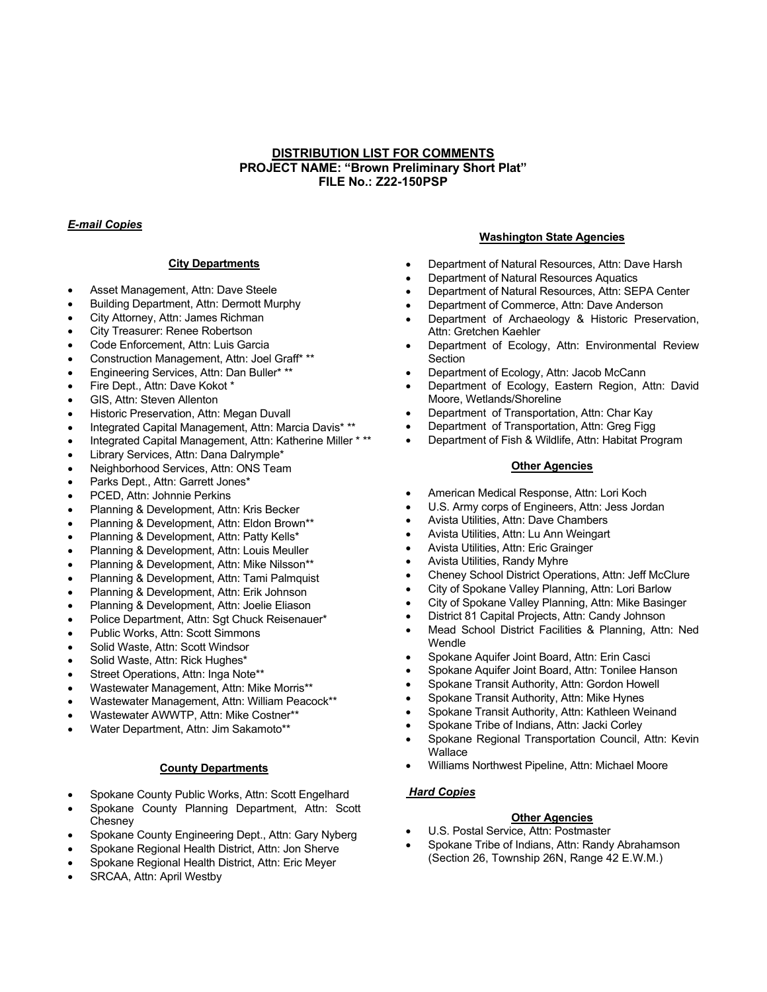# **DISTRIBUTION LIST FOR COMMENTS PROJECT NAME: "Brown Preliminary Short Plat" FILE No.: Z22-150PSP**

# *E-mail Copies*

## **City Departments**

- Asset Management, Attn: Dave Steele
- Building Department, Attn: Dermott Murphy
- City Attorney, Attn: James Richman
- City Treasurer: Renee Robertson
- Code Enforcement, Attn: Luis Garcia
- Construction Management, Attn: Joel Graff\* \*\*
- Engineering Services, Attn: Dan Buller\* \*\*
- Fire Dept., Attn: Dave Kokot \*
- GIS, Attn: Steven Allenton
- Historic Preservation, Attn: Megan Duvall
- Integrated Capital Management, Attn: Marcia Davis\* \*\*
- Integrated Capital Management, Attn: Katherine Miller \* \*\*
- Library Services, Attn: Dana Dalrymple\*
- Neighborhood Services, Attn: ONS Team
- Parks Dept., Attn: Garrett Jones\*
- PCED, Attn: Johnnie Perkins
- Planning & Development, Attn: Kris Becker
- Planning & Development, Attn: Eldon Brown\*\*
- Planning & Development, Attn: Patty Kells\*
- Planning & Development, Attn: Louis Meuller
- Planning & Development, Attn: Mike Nilsson\*\*
- Planning & Development, Attn: Tami Palmquist
- Planning & Development, Attn: Erik Johnson
- Planning & Development, Attn: Joelie Eliason
- Police Department, Attn: Sgt Chuck Reisenauer\*
- Public Works, Attn: Scott Simmons
- Solid Waste, Attn: Scott Windsor
- Solid Waste, Attn: Rick Hughes\*
- Street Operations, Attn: Inga Note\*\*
- Wastewater Management, Attn: Mike Morris\*\*
- Wastewater Management, Attn: William Peacock\*\*
- Wastewater AWWTP, Attn: Mike Costner\*\*
- Water Department, Attn: Jim Sakamoto\*\*

## **County Departments**

- Spokane County Public Works, Attn: Scott Engelhard
- Spokane County Planning Department, Attn: Scott **Chesney**
- Spokane County Engineering Dept., Attn: Gary Nyberg
- Spokane Regional Health District, Attn: Jon Sherve
- Spokane Regional Health District, Attn: Eric Meyer
- SRCAA, Attn: April Westby

#### **Washington State Agencies**

- Department of Natural Resources, Attn: Dave Harsh
- Department of Natural Resources Aquatics
- Department of Natural Resources, Attn: SEPA Center
- Department of Commerce, Attn: Dave Anderson
- Department of Archaeology & Historic Preservation, Attn: Gretchen Kaehler
- Department of Ecology, Attn: Environmental Review **Section**
- Department of Ecology, Attn: Jacob McCann
- Department of Ecology, Eastern Region, Attn: David Moore, Wetlands/Shoreline
- Department of Transportation, Attn: Char Kay
- Department of Transportation, Attn: Greg Figg
- Department of Fish & Wildlife, Attn: Habitat Program

## **Other Agencies**

- American Medical Response, Attn: Lori Koch
- U.S. Army corps of Engineers, Attn: Jess Jordan
- Avista Utilities, Attn: Dave Chambers
- Avista Utilities, Attn: Lu Ann Weingart
- Avista Utilities, Attn: Eric Grainger
- Avista Utilities, Randy Myhre
- Cheney School District Operations, Attn: Jeff McClure
- City of Spokane Valley Planning, Attn: Lori Barlow
- City of Spokane Valley Planning, Attn: Mike Basinger
- District 81 Capital Projects, Attn: Candy Johnson
- Mead School District Facilities & Planning, Attn: Ned Wendle
- Spokane Aquifer Joint Board, Attn: Erin Casci
- Spokane Aquifer Joint Board, Attn: Tonilee Hanson
- Spokane Transit Authority, Attn: Gordon Howell
- Spokane Transit Authority, Attn: Mike Hynes
- Spokane Transit Authority, Attn: Kathleen Weinand
- Spokane Tribe of Indians, Attn: Jacki Corley
- Spokane Regional Transportation Council, Attn: Kevin **Wallace**
- Williams Northwest Pipeline, Attn: Michael Moore

# *Hard Copies*

## **Other Agencies**

- U.S. Postal Service, Attn: Postmaster
- Spokane Tribe of Indians, Attn: Randy Abrahamson (Section 26, Township 26N, Range 42 E.W.M.)